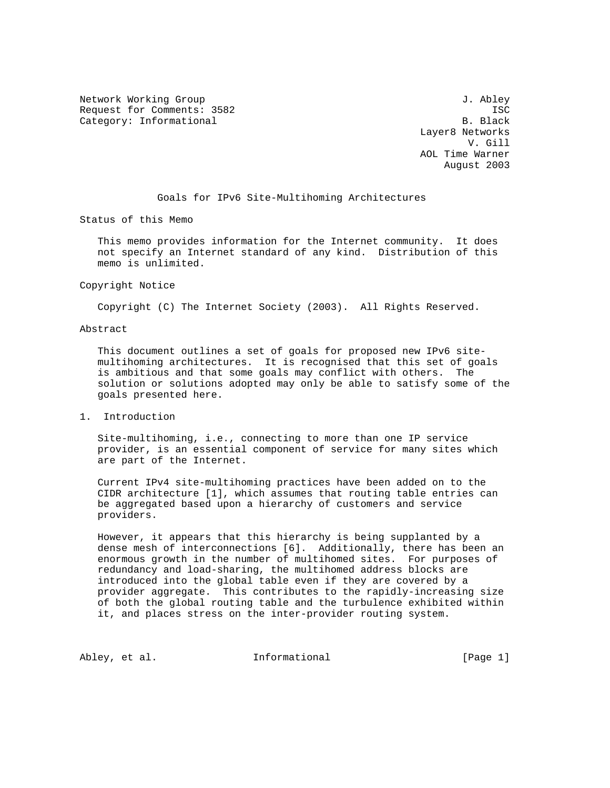Network Working Group 3. Abley Request for Comments: 3582 ISC<br>Category: Informational B. Black Category: Informational

 Layer8 Networks V. Gill AOL Time Warner August 2003

Goals for IPv6 Site-Multihoming Architectures

Status of this Memo

 This memo provides information for the Internet community. It does not specify an Internet standard of any kind. Distribution of this memo is unlimited.

Copyright Notice

Copyright (C) The Internet Society (2003). All Rights Reserved.

Abstract

 This document outlines a set of goals for proposed new IPv6 site multihoming architectures. It is recognised that this set of goals is ambitious and that some goals may conflict with others. The solution or solutions adopted may only be able to satisfy some of the goals presented here.

1. Introduction

 Site-multihoming, i.e., connecting to more than one IP service provider, is an essential component of service for many sites which are part of the Internet.

 Current IPv4 site-multihoming practices have been added on to the CIDR architecture [1], which assumes that routing table entries can be aggregated based upon a hierarchy of customers and service providers.

 However, it appears that this hierarchy is being supplanted by a dense mesh of interconnections [6]. Additionally, there has been an enormous growth in the number of multihomed sites. For purposes of redundancy and load-sharing, the multihomed address blocks are introduced into the global table even if they are covered by a provider aggregate. This contributes to the rapidly-increasing size of both the global routing table and the turbulence exhibited within it, and places stress on the inter-provider routing system.

Abley, et al.  $I_n$  Informational [Page 1]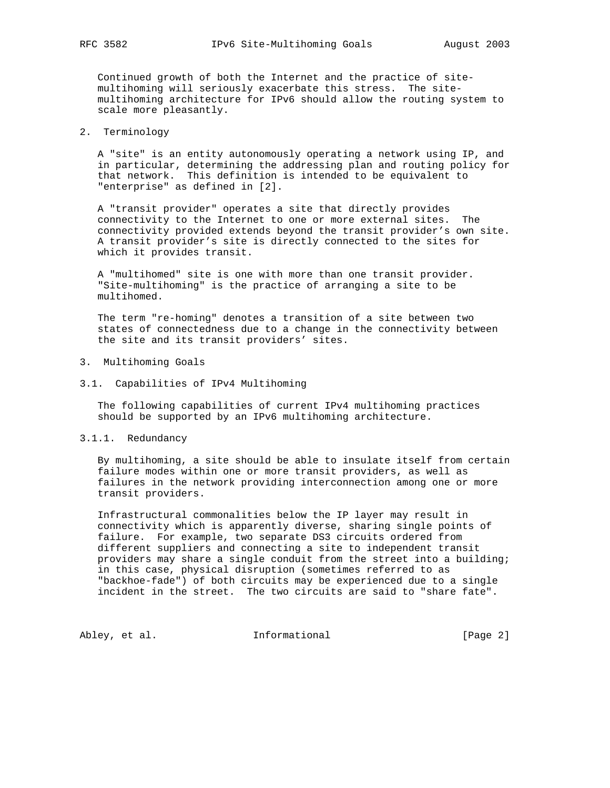Continued growth of both the Internet and the practice of site multihoming will seriously exacerbate this stress. The site multihoming architecture for IPv6 should allow the routing system to scale more pleasantly.

## 2. Terminology

 A "site" is an entity autonomously operating a network using IP, and in particular, determining the addressing plan and routing policy for that network. This definition is intended to be equivalent to "enterprise" as defined in [2].

 A "transit provider" operates a site that directly provides connectivity to the Internet to one or more external sites. The connectivity provided extends beyond the transit provider's own site. A transit provider's site is directly connected to the sites for which it provides transit.

 A "multihomed" site is one with more than one transit provider. "Site-multihoming" is the practice of arranging a site to be multihomed.

 The term "re-homing" denotes a transition of a site between two states of connectedness due to a change in the connectivity between the site and its transit providers' sites.

### 3. Multihoming Goals

3.1. Capabilities of IPv4 Multihoming

 The following capabilities of current IPv4 multihoming practices should be supported by an IPv6 multihoming architecture.

### 3.1.1. Redundancy

 By multihoming, a site should be able to insulate itself from certain failure modes within one or more transit providers, as well as failures in the network providing interconnection among one or more transit providers.

 Infrastructural commonalities below the IP layer may result in connectivity which is apparently diverse, sharing single points of failure. For example, two separate DS3 circuits ordered from different suppliers and connecting a site to independent transit providers may share a single conduit from the street into a building; in this case, physical disruption (sometimes referred to as "backhoe-fade") of both circuits may be experienced due to a single incident in the street. The two circuits are said to "share fate".

Abley, et al. 1nformational 1999 [Page 2]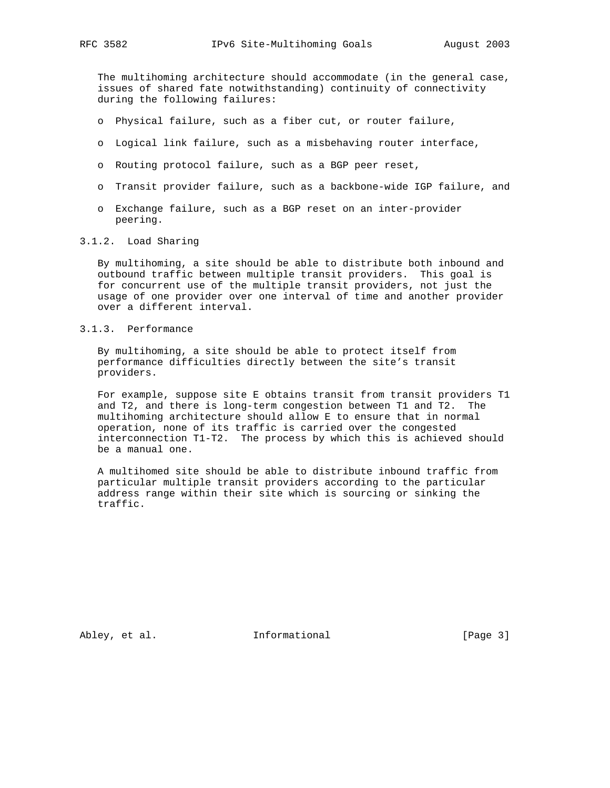The multihoming architecture should accommodate (in the general case, issues of shared fate notwithstanding) continuity of connectivity during the following failures:

- o Physical failure, such as a fiber cut, or router failure,
- o Logical link failure, such as a misbehaving router interface,
- o Routing protocol failure, such as a BGP peer reset,
- o Transit provider failure, such as a backbone-wide IGP failure, and
- o Exchange failure, such as a BGP reset on an inter-provider peering.

# 3.1.2. Load Sharing

 By multihoming, a site should be able to distribute both inbound and outbound traffic between multiple transit providers. This goal is for concurrent use of the multiple transit providers, not just the usage of one provider over one interval of time and another provider over a different interval.

### 3.1.3. Performance

 By multihoming, a site should be able to protect itself from performance difficulties directly between the site's transit providers.

 For example, suppose site E obtains transit from transit providers T1 and T2, and there is long-term congestion between T1 and T2. The multihoming architecture should allow E to ensure that in normal operation, none of its traffic is carried over the congested interconnection T1-T2. The process by which this is achieved should be a manual one.

 A multihomed site should be able to distribute inbound traffic from particular multiple transit providers according to the particular address range within their site which is sourcing or sinking the traffic.

Abley, et al. 1nformational 1999 [Page 3]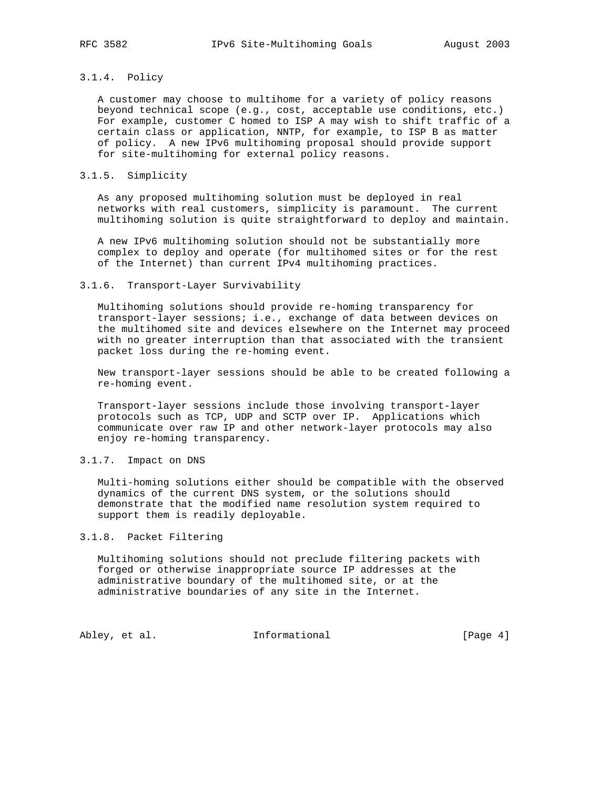# 3.1.4. Policy

 A customer may choose to multihome for a variety of policy reasons beyond technical scope (e.g., cost, acceptable use conditions, etc.) For example, customer C homed to ISP A may wish to shift traffic of a certain class or application, NNTP, for example, to ISP B as matter of policy. A new IPv6 multihoming proposal should provide support for site-multihoming for external policy reasons.

### 3.1.5. Simplicity

 As any proposed multihoming solution must be deployed in real networks with real customers, simplicity is paramount. The current multihoming solution is quite straightforward to deploy and maintain.

 A new IPv6 multihoming solution should not be substantially more complex to deploy and operate (for multihomed sites or for the rest of the Internet) than current IPv4 multihoming practices.

### 3.1.6. Transport-Layer Survivability

 Multihoming solutions should provide re-homing transparency for transport-layer sessions; i.e., exchange of data between devices on the multihomed site and devices elsewhere on the Internet may proceed with no greater interruption than that associated with the transient packet loss during the re-homing event.

 New transport-layer sessions should be able to be created following a re-homing event.

 Transport-layer sessions include those involving transport-layer protocols such as TCP, UDP and SCTP over IP. Applications which communicate over raw IP and other network-layer protocols may also enjoy re-homing transparency.

### 3.1.7. Impact on DNS

 Multi-homing solutions either should be compatible with the observed dynamics of the current DNS system, or the solutions should demonstrate that the modified name resolution system required to support them is readily deployable.

### 3.1.8. Packet Filtering

 Multihoming solutions should not preclude filtering packets with forged or otherwise inappropriate source IP addresses at the administrative boundary of the multihomed site, or at the administrative boundaries of any site in the Internet.

Abley, et al. 1nformational 1999 [Page 4]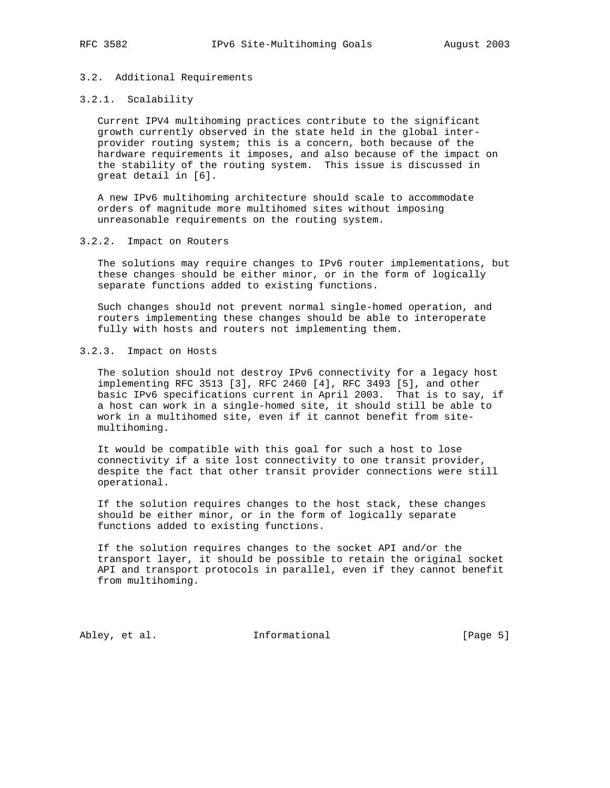### 3.2. Additional Requirements

### 3.2.1. Scalability

 Current IPV4 multihoming practices contribute to the significant growth currently observed in the state held in the global inter provider routing system; this is a concern, both because of the hardware requirements it imposes, and also because of the impact on the stability of the routing system. This issue is discussed in great detail in [6].

 A new IPv6 multihoming architecture should scale to accommodate orders of magnitude more multihomed sites without imposing unreasonable requirements on the routing system.

### 3.2.2. Impact on Routers

 The solutions may require changes to IPv6 router implementations, but these changes should be either minor, or in the form of logically separate functions added to existing functions.

 Such changes should not prevent normal single-homed operation, and routers implementing these changes should be able to interoperate fully with hosts and routers not implementing them.

## 3.2.3. Impact on Hosts

 The solution should not destroy IPv6 connectivity for a legacy host implementing RFC 3513 [3], RFC 2460 [4], RFC 3493 [5], and other basic IPv6 specifications current in April 2003. That is to say, if a host can work in a single-homed site, it should still be able to work in a multihomed site, even if it cannot benefit from site multihoming.

 It would be compatible with this goal for such a host to lose connectivity if a site lost connectivity to one transit provider, despite the fact that other transit provider connections were still operational.

 If the solution requires changes to the host stack, these changes should be either minor, or in the form of logically separate functions added to existing functions.

 If the solution requires changes to the socket API and/or the transport layer, it should be possible to retain the original socket API and transport protocols in parallel, even if they cannot benefit from multihoming.

Abley, et al. 1nformational 1999 [Page 5]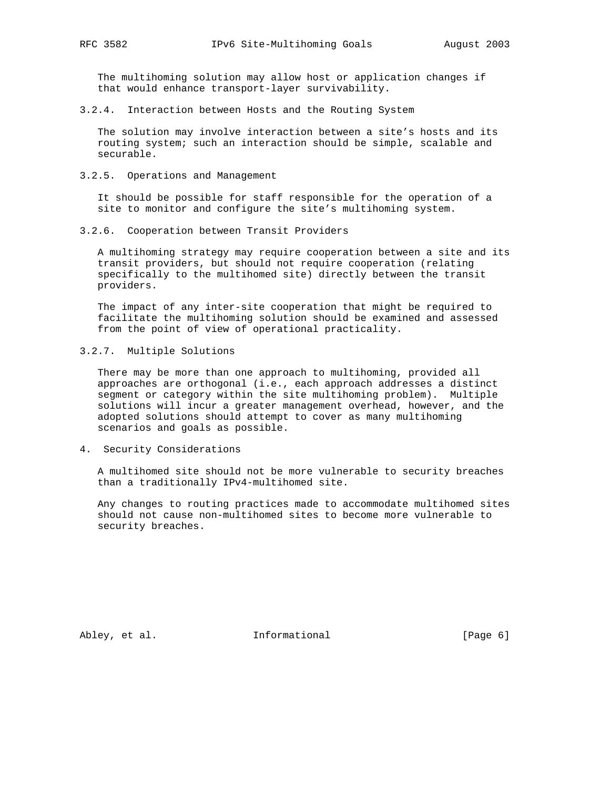The multihoming solution may allow host or application changes if that would enhance transport-layer survivability.

3.2.4. Interaction between Hosts and the Routing System

 The solution may involve interaction between a site's hosts and its routing system; such an interaction should be simple, scalable and securable.

3.2.5. Operations and Management

 It should be possible for staff responsible for the operation of a site to monitor and configure the site's multihoming system.

3.2.6. Cooperation between Transit Providers

 A multihoming strategy may require cooperation between a site and its transit providers, but should not require cooperation (relating specifically to the multihomed site) directly between the transit providers.

 The impact of any inter-site cooperation that might be required to facilitate the multihoming solution should be examined and assessed from the point of view of operational practicality.

3.2.7. Multiple Solutions

 There may be more than one approach to multihoming, provided all approaches are orthogonal (i.e., each approach addresses a distinct segment or category within the site multihoming problem). Multiple solutions will incur a greater management overhead, however, and the adopted solutions should attempt to cover as many multihoming scenarios and goals as possible.

4. Security Considerations

 A multihomed site should not be more vulnerable to security breaches than a traditionally IPv4-multihomed site.

 Any changes to routing practices made to accommodate multihomed sites should not cause non-multihomed sites to become more vulnerable to security breaches.

Abley, et al. 1nformational 1999 [Page 6]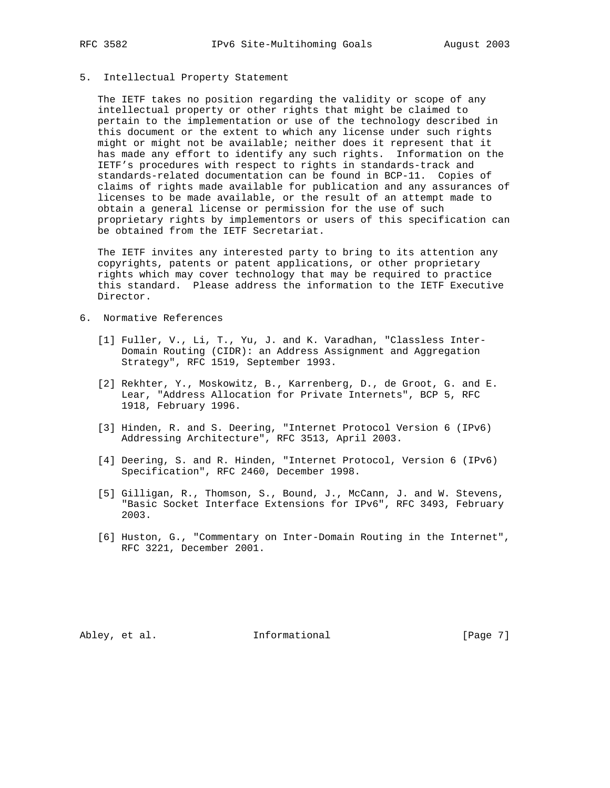### 5. Intellectual Property Statement

 The IETF takes no position regarding the validity or scope of any intellectual property or other rights that might be claimed to pertain to the implementation or use of the technology described in this document or the extent to which any license under such rights might or might not be available; neither does it represent that it has made any effort to identify any such rights. Information on the IETF's procedures with respect to rights in standards-track and standards-related documentation can be found in BCP-11. Copies of claims of rights made available for publication and any assurances of licenses to be made available, or the result of an attempt made to obtain a general license or permission for the use of such proprietary rights by implementors or users of this specification can be obtained from the IETF Secretariat.

 The IETF invites any interested party to bring to its attention any copyrights, patents or patent applications, or other proprietary rights which may cover technology that may be required to practice this standard. Please address the information to the IETF Executive Director.

- 6. Normative References
	- [1] Fuller, V., Li, T., Yu, J. and K. Varadhan, "Classless Inter- Domain Routing (CIDR): an Address Assignment and Aggregation Strategy", RFC 1519, September 1993.
	- [2] Rekhter, Y., Moskowitz, B., Karrenberg, D., de Groot, G. and E. Lear, "Address Allocation for Private Internets", BCP 5, RFC 1918, February 1996.
	- [3] Hinden, R. and S. Deering, "Internet Protocol Version 6 (IPv6) Addressing Architecture", RFC 3513, April 2003.
	- [4] Deering, S. and R. Hinden, "Internet Protocol, Version 6 (IPv6) Specification", RFC 2460, December 1998.
	- [5] Gilligan, R., Thomson, S., Bound, J., McCann, J. and W. Stevens, "Basic Socket Interface Extensions for IPv6", RFC 3493, February 2003.
	- [6] Huston, G., "Commentary on Inter-Domain Routing in the Internet", RFC 3221, December 2001.

Abley, et al. 1nformational 1999 [Page 7]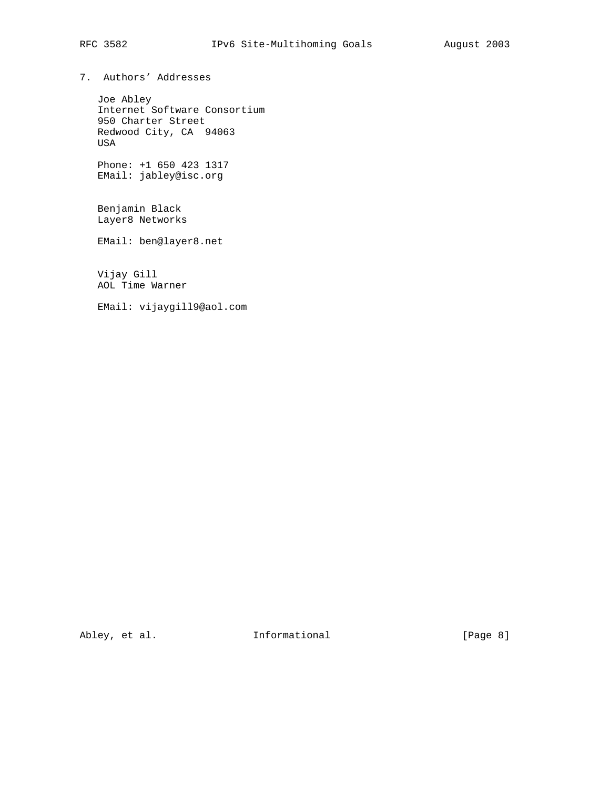# RFC 3582 IPv6 Site-Multihoming Goals August 2003

7. Authors' Addresses

 Joe Abley Internet Software Consortium 950 Charter Street Redwood City, CA 94063 USA

 Phone: +1 650 423 1317 EMail: jabley@isc.org

 Benjamin Black Layer8 Networks

EMail: ben@layer8.net

 Vijay Gill AOL Time Warner

EMail: vijaygill9@aol.com

Abley, et al. 1nformational 1999 [Page 8]